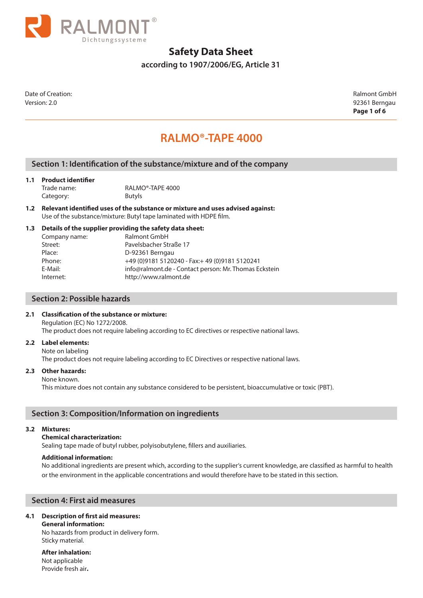

**according to 1907/2006/EG, Article 31**

Date of Creation: Ralmont GmbH Version: 2.0 92361 Berngau

**Page 1 of 6**

## **RALMO®-TAPE 4000**

## **Section 1: Identification of the substance/mixture and of the company**

#### **1.1 Product identifier**

Trade name: RALMO®-TAPE 4000 Category: Butyls

**1.2 Relevant identified uses of the substance or mixture and uses advised against:**  Use of the substance/mixture: Butyl tape laminated with HDPE film.

#### **1.3 Details of the supplier providing the safety data sheet:**

| Company name: | <b>Ralmont GmbH</b>                                   |
|---------------|-------------------------------------------------------|
| Street:       | Pavelsbacher Straße 17                                |
| Place:        | D-92361 Berngau                                       |
| Phone:        | +49 (0) 9181 5120240 - Fax: + 49 (0) 9181 5120241     |
| E-Mail:       | info@ralmont.de - Contact person: Mr. Thomas Eckstein |
| Internet:     | http://www.ralmont.de                                 |
|               |                                                       |

### **Section 2: Possible hazards**

## **2.1 Classification of the substance or mixture:**

Regulation (EC) No 1272/2008. The product does not require labeling according to EC directives or respective national laws.

#### **2.2 Label elements:**

Note on labeling The product does not require labeling according to EC Directives or respective national laws.

#### **2.3 Other hazards:**

#### None known.

This mixture does not contain any substance considered to be persistent, bioaccumulative or toxic (PBT).

## **Section 3: Composition/Information on ingredients**

#### **3.2 Mixtures:**

#### **Chemical characterization:**

Sealing tape made of butyl rubber, polyisobutylene, fillers and auxiliaries.

#### **Additional information:**

No additional ingredients are present which, according to the supplier's current knowledge, are classified as harmful to health or the environment in the applicable concentrations and would therefore have to be stated in this section.

### **Section 4: First aid measures**

### **4.1 Description of first aid measures:**

**General information:**

No hazards from product in delivery form. Sticky material.

**After inhalation:** Not applicable Provide fresh air**.**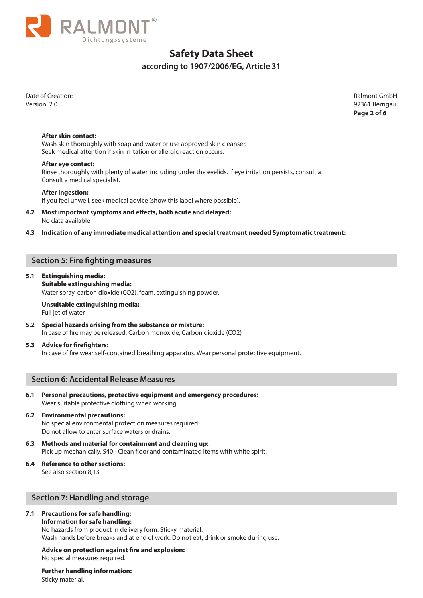

## **according to 1907/2006/EG, Article 31**

Date of Creation: Ralmont GmbH Version: 2.0 92361 Berngau

**Page 2 of 6**

#### **After skin contact:**

Wash skin thoroughly with soap and water or use approved skin cleanser. Seek medical attention if skin irritation or allergic reaction occurs.

#### **After eye contact:**

Rinse thoroughly with plenty of water, including under the eyelids. If eye irritation persists, consult a Consult a medical specialist.

#### **After ingestion:**

If you feel unwell, seek medical advice (show this label where possible).

#### **4.2 Most important symptoms and effects, both acute and delayed:** No data available

#### **4.3 Indication of any immediate medical attention and special treatment needed Symptomatic treatment:**

## **Section 5: Fire fighting measures**

#### **5.1 Extinguishing media:**

**Suitable extinguishing media:** Water spray, carbon dioxide (CO2), foam, extinguishing powder.

#### **Unsuitable extinguishing media:** Full jet of water

**5.2 Special hazards arising from the substance or mixture:** In case of fire may be released: Carbon monoxide, Carbon dioxide (CO2)

#### **5.3 Advice for firefighters:**

In case of fire wear self-contained breathing apparatus. Wear personal protective equipment.

## **Section 6: Accidental Release Measures**

**6.1 Personal precautions, protective equipment and emergency procedures:** Wear suitable protective clothing when working.

#### **6.2 Environmental precautions:**

No special environmental protection measures required. Do not allow to enter surface waters or drains.

- **6.3 Methods and material for containment and cleaning up:** Pick up mechanically. S40 - Clean floor and contaminated items with white spirit.
- **6.4 Reference to other sections:**

See also section 8,13

## **Section 7: Handling and storage**

#### **7.1 Precautions for safe handling:**

#### **Information for safe handling:**

No hazards from product in delivery form. Sticky material. Wash hands before breaks and at end of work. Do not eat, drink or smoke during use.

## **Advice on protection against fire and explosion:**

No special measures required.

#### **Further handling information:** Sticky material.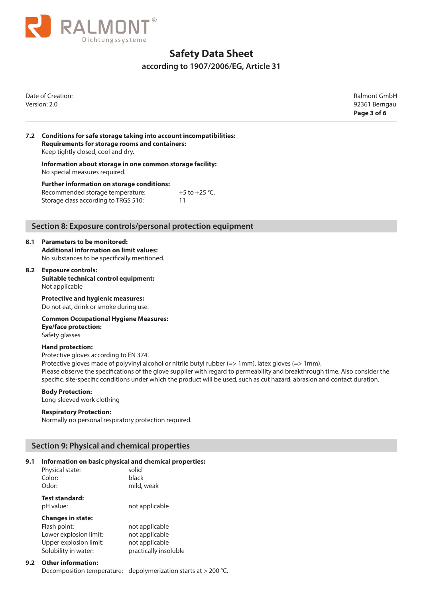

**according to 1907/2006/EG, Article 31**

Date of Creation: Ralmont GmbH Version: 2.0 92361 Berngau

**Page 3 of 6**

#### **7.2 Conditions for safe storage taking into account incompatibilities: Requirements for storage rooms and containers:** Keep tightly closed, cool and dry.

**Information about storage in one common storage facility:** No special measures required.

**Further information on storage conditions:** Recommended storage temperature:  $+5$  to  $+25$  °C. Storage class according to TRGS 510: 11

## **Section 8: Exposure controls/personal protection equipment**

#### **8.1 Parameters to be monitored:**

**Additional information on limit values:**  No substances to be specifically mentioned.

#### **8.2 Exposure controls:**

**Suitable technical control equipment:** Not applicable

**Protective and hygienic measures:** Do not eat, drink or smoke during use.

**Common Occupational Hygiene Measures: Eye/face protection:** Safety glasses

#### **Hand protection:**

Protective gloves according to EN 374.

Protective gloves made of polyvinyl alcohol or nitrile butyl rubber (=> 1mm), latex gloves (=> 1mm). Please observe the specifications of the glove supplier with regard to permeability and breakthrough time. Also consider the specific, site-specific conditions under which the product will be used, such as cut hazard, abrasion and contact duration.

#### **Body Protection:**

Long-sleeved work clothing

#### **Respiratory Protection:**

Normally no personal respiratory protection required.

## **Section 9: Physical and chemical properties**

#### **9.1 Information on basic physical and chemical properties:**

| Physical state:                         | solid                       |
|-----------------------------------------|-----------------------------|
| Color:                                  | black                       |
| Odor:                                   | mild, weak                  |
| <b>Test standard:</b>                   |                             |
| pH value:                               | not applicable              |
| <b>Changes in state:</b>                |                             |
| Flash point:                            | not applicable              |
| المقامعينا المرجانة والمربوبة ويجردونها | الملما ممثل مرمر منقله مرمز |

| not applicable        |
|-----------------------|
| not applicable        |
| not applicable        |
| practically insoluble |
|                       |

#### **9.2 Other information:**

Decomposition temperature: depolymerization starts at > 200 °C.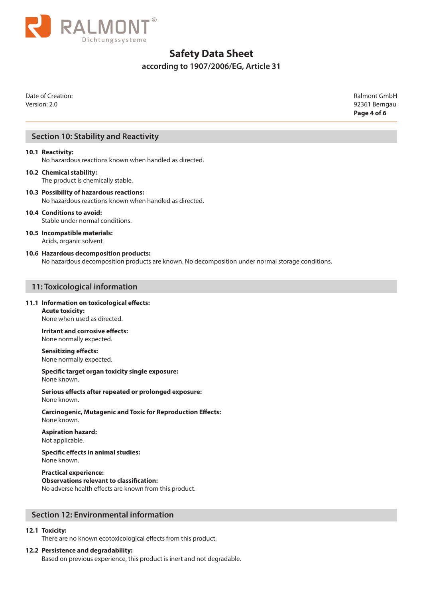

## **according to 1907/2006/EG, Article 31**

Date of Creation: Ralmont GmbH Version: 2.0 92361 Berngau

**Page 4 of 6**

## **Section 10: Stability and Reactivity**

#### **10.1 Reactivity:**

No hazardous reactions known when handled as directed.

#### **10.2 Chemical stability:** The product is chemically stable.

**10.3 Possibility of hazardous reactions:** No hazardous reactions known when handled as directed.

## **10.4 Conditions to avoid:**

Stable under normal conditions.

#### **10.5 Incompatible materials:** Acids, organic solvent

#### **10.6 Hazardous decomposition products:**

No hazardous decomposition products are known. No decomposition under normal storage conditions.

#### **11: Toxicological information**

#### **11.1 Information on toxicological effects:**

**Acute toxicity:** None when used as directed.

**Irritant and corrosive effects:** None normally expected.

**Sensitizing effects:** None normally expected.

**Specific target organ toxicity single exposure:** None known.

**Serious effects after repeated or prolonged exposure:** None known.

**Carcinogenic, Mutagenic and Toxic for Reproduction Effects:** None known.

**Aspiration hazard:** Not applicable.

**Specific effects in animal studies:** None known.

**Practical experience: Observations relevant to classification:** No adverse health effects are known from this product.

## **Section 12: Environmental information**

#### **12.1 Toxicity:**

There are no known ecotoxicological effects from this product.

#### **12.2 Persistence and degradability:**

Based on previous experience, this product is inert and not degradable.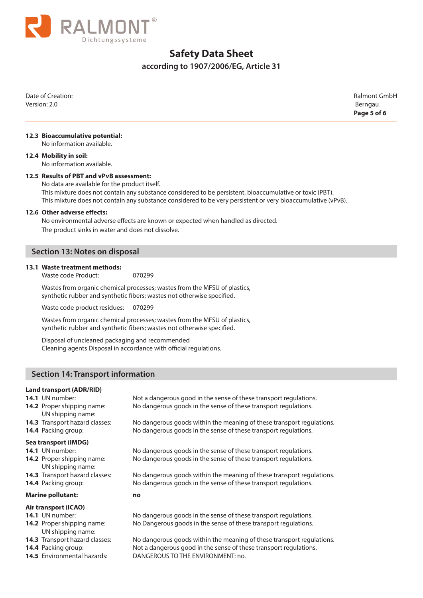

## **according to 1907/2006/EG, Article 31**

Date of Creation: Ralmont GmbH Version: 2.0 Berngau

**Page 5 of 6**

#### **12.3 Bioaccumulative potential:**

No information available.

#### **12.4 Mobility in soil:**

No information available.

#### **12.5 Results of PBT and vPvB assessment:**

No data are available for the product itself. This mixture does not contain any substance considered to be persistent, bioaccumulative or toxic (PBT). This mixture does not contain any substance considered to be very persistent or very bioaccumulative (vPvB).

#### **12.6 Other adverse effects:**

No environmental adverse effects are known or expected when handled as directed. The product sinks in water and does not dissolve.

## **Section 13: Notes on disposal**

#### **13.1 Waste treatment methods:**

Waste code Product: 070299

Wastes from organic chemical processes; wastes from the MFSU of plastics, synthetic rubber and synthetic fibers; wastes not otherwise specified.

Waste code product residues: 070299

Wastes from organic chemical processes; wastes from the MFSU of plastics, synthetic rubber and synthetic fibers; wastes not otherwise specified.

Disposal of uncleaned packaging and recommended Cleaning agents Disposal in accordance with official regulations.

## **Section 14: Transport information**

#### **Land transport (ADR/RID)**

- 
- UN shipping name:

**14.1** UN number: Not a dangerous good in the sense of these transport regulations. **14.2** Proper shipping name: No dangerous goods in the sense of these transport regulations.

**14.3** Transport hazard classes: No dangerous goods within the meaning of these transport regulations. **14.4** Packing group: No dangerous goods in the sense of these transport regulations.

#### **Sea transport (IMDG)**

- **14.1** UN number: No dangerous goods in the sense of these transport regulations.
- **14.2** Proper shipping name: No dangerous goods in the sense of these transport regulations. UN shipping name:
- **14.3** Transport hazard classes: No dangerous goods within the meaning of these transport regulations.
- **14.4** Packing group: No dangerous goods in the sense of these transport regulations.

#### **Marine pollutant: no**

#### **Air transport (ICAO)**

- 
- UN shipping name:
- 
- 
- 

**14.1** UN number: No dangerous goods in the sense of these transport regulations. **14.2** Proper shipping name: No Dangerous goods in the sense of these transport regulations.

**14.3** Transport hazard classes: No dangerous goods within the meaning of these transport regulations. **14.4** Packing group: Not a dangerous good in the sense of these transport regulations. **14.5** Environmental hazards: DANGEROUS TO THE ENVIRONMENT: no.